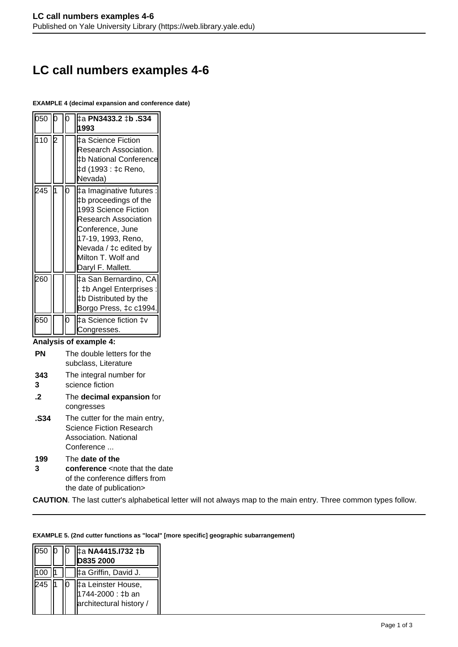# **LC call numbers examples 4-6**

#### **EXAMPLE 4 (decimal expansion and conference date)**

| 050 |   | 1993                                                                                                                                                                                                                 |
|-----|---|----------------------------------------------------------------------------------------------------------------------------------------------------------------------------------------------------------------------|
| 110 |   | ‡a Science Fiction<br>Research Association.<br>‡b National Conference<br>‡d (1993 : ‡c Reno,<br>Nevada)                                                                                                              |
| 245 | ሰ | #a Imaginative futures<br>‡b proceedings of the<br>1993 Science Fiction<br><b>Research Association</b><br>Conference, June<br>17-19, 1993, Reno,<br>Nevada / ‡c edited by<br>Milton T. Wolf and<br>Daryl F. Mallett. |
| 260 |   | ‡a San Bernardino, CA<br>: ‡b Angel Enterprises :<br>‡b Distributed by the<br>Borgo Press, ‡c c1994.                                                                                                                 |
| 650 |   | ‡a Science fiction ‡v<br>Congresses.                                                                                                                                                                                 |

**Analysis of example 4:**

| <b>PN</b> | The double letters for the |  |  |  |
|-----------|----------------------------|--|--|--|
|           | subclass, Literature       |  |  |  |

- **343** The integral number for
- **3** science fiction
- **.2** The **decimal expansion** for congresses
- **.S34** The cutter for the main entry, Science Fiction Research Association. National Conference ...

**199 3** The **date of the conference** <note that the date of the conference differs from the date of publication>

**CAUTION**. The last cutter's alphabetical letter will not always map to the main entry. Three common types follow.

#### **EXAMPLE 5. (2nd cutter functions as "local" [more specific] geographic subarrangement)**

| lb50 |  | #a NA4415.1732 ‡b                                                  |
|------|--|--------------------------------------------------------------------|
|      |  | D835 2000                                                          |
|      |  | I‡a Griffin, David J.                                              |
| 245  |  | ‡a Leinster House,<br>1744-2000 : ‡b an<br>architectural history / |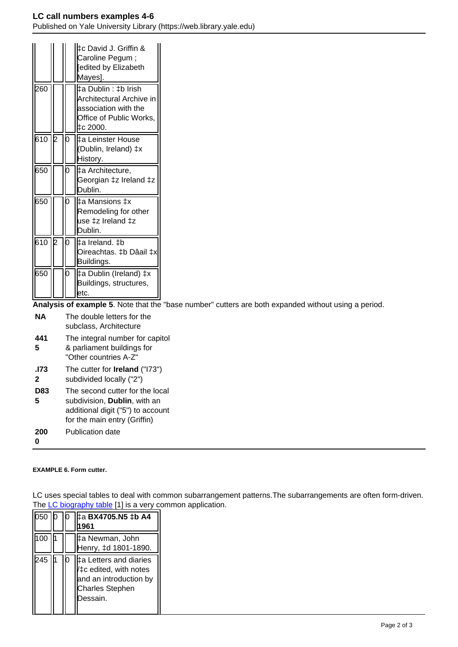|        |     |   | ‡c David J. Griffin &<br>Caroline Pegum;<br>edited by Elizabeth<br>Mayes].                                       |
|--------|-----|---|------------------------------------------------------------------------------------------------------------------|
| 260    |     |   | ‡a Dublin : ‡b Irish<br>Architectural Archive in<br>lassociation with the<br>Office of Public Works,<br>はc 2000. |
| 610 I2 |     | n | ‡a Leinster House<br>(Dublin, Ireland) ‡x<br>History.                                                            |
| 650    |     |   | ‡a Architecture,<br>Georgian ‡z Ireland ‡z<br>Dublin.                                                            |
| 650    |     | N | ‡a Mansions ‡x<br>Remodeling for other<br>use ‡z Ireland ‡z<br>Dublin.                                           |
| 610    | ID. | ი | ‡a Ireland. ‡b<br>Oireachtas. ‡b Dâail ‡x<br>Buildings.                                                          |
| 650    |     |   | ‡a Dublin (Ireland) ‡x<br>Buildings, structures,<br>letc.                                                        |

**Analysis of example 5**. Note that the "base number" cutters are both expanded without using a period.

| NА              | The double letters for the<br>subclass, Architecture                                                                                 |
|-----------------|--------------------------------------------------------------------------------------------------------------------------------------|
| 441<br>5        | The integral number for capitol<br>& parliament buildings for<br>"Other countries A-Z"                                               |
| .173<br>2       | The cutter for <b>Ireland</b> ("173")<br>subdivided locally ("2")                                                                    |
| <b>D83</b><br>5 | The second cutter for the local<br>subdivision, Dublin, with an<br>additional digit ("5") to account<br>for the main entry (Griffin) |
| 200             | Publication date                                                                                                                     |

#### **EXAMPLE 6. Form cutter.**

LC uses special tables to deal with common subarrangement patterns.The subarrangements are often form-driven. The [LC biography table](http://www.itsmarc.com/crs/mergedProjects/cutter/cutter/biography_table_cutter.htm) [1] is a very common application.

| 050 |  | ‡a BX4705.N5 ‡b A4<br>961                                                                                        |
|-----|--|------------------------------------------------------------------------------------------------------------------|
| 100 |  | ‡a Newman, John<br>Henry, ‡d 1801-1890.                                                                          |
| 245 |  | ‡a Letters and diaries<br>/‡c edited, with notes<br>and an introduction by<br><b>Charles Stephen</b><br>Dessain. |